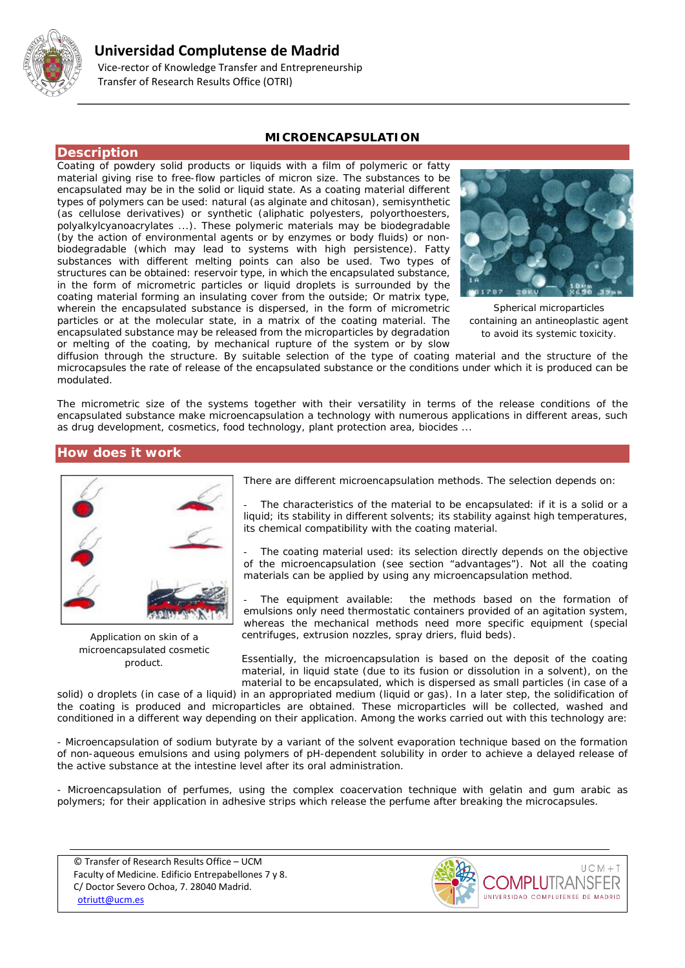

# **Universidad Complutense de Madrid**

 Vice-rector of Knowledge Transfer and Entrepreneurship Transfer of Research Results Office (OTRI)

# **MICROENCAPSULATION**

### **Description**

Coating of powdery solid products or liquids with a film of polymeric or fatty material giving rise to free-flow particles of micron size. The substances to be encapsulated may be in the solid or liquid state. As a coating material different types of polymers can be used: natural (as alginate and chitosan), semisynthetic (as cellulose derivatives) or synthetic (aliphatic polyesters, polyorthoesters, polyalkylcyanoacrylates ...). These polymeric materials may be biodegradable (by the action of environmental agents or by enzymes or body fluids) or nonbiodegradable (which may lead to systems with high persistence). Fatty substances with different melting points can also be used. Two types of structures can be obtained: reservoir type, in which the encapsulated substance, in the form of micrometric particles or liquid droplets is surrounded by the coating material forming an insulating cover from the outside; Or matrix type, wherein the encapsulated substance is dispersed, in the form of micrometric particles or at the molecular state, in a matrix of the coating material. The encapsulated substance may be released from the microparticles by degradation or melting of the coating, by mechanical rupture of the system or by slow



*Spherical microparticles containing an antineoplastic agent to avoid its systemic toxicity.*

diffusion through the structure. By suitable selection of the type of coating material and the structure of the microcapsules the rate of release of the encapsulated substance or the conditions under which it is produced can be modulated.

The micrometric size of the systems together with their versatility in terms of the release conditions of the encapsulated substance make microencapsulation a technology with numerous applications in different areas, such as drug development, cosmetics, food technology, plant protection area, biocides ...

# **How does it work**



*Application on skin of a microencapsulated cosmetic product.*

There are different microencapsulation methods. The selection depends on:

The characteristics of the material to be encapsulated: if it is a solid or a liquid; its stability in different solvents; its stability against high temperatures, its chemical compatibility with the coating material.

The coating material used: its selection directly depends on the objective of the microencapsulation (see section "advantages"). Not all the coating materials can be applied by using any microencapsulation method.

The equipment available: the methods based on the formation of emulsions only need thermostatic containers provided of an agitation system, whereas the mechanical methods need more specific equipment (special centrifuges, extrusion nozzles, spray driers, fluid beds).

Essentially, the microencapsulation is based on the deposit of the coating material, in liquid state (due to its fusion or dissolution in a solvent), on the material to be encapsulated, which is dispersed as small particles (in case of a

solid) o droplets (in case of a liquid) in an appropriated medium (liquid or gas). In a later step, the solidification of the coating is produced and microparticles are obtained. These microparticles will be collected, washed and conditioned in a different way depending on their application. Among the works carried out with this technology are:

- Microencapsulation of sodium butyrate by a variant of the solvent evaporation technique based on the formation of non-aqueous emulsions and using polymers of pH-dependent solubility in order to achieve a delayed release of the active substance at the intestine level after its oral administration.

- Microencapsulation of perfumes, using the complex coacervation technique with gelatin and gum arabic as polymers; for their application in adhesive strips which release the perfume after breaking the microcapsules.

© Transfer of Research Results Office – UCM Faculty of Medicine. Edificio Entrepabellones 7 y 8. C/ Doctor Severo Ochoa, 7. 28040 Madrid. [otriutt@ucm.es](mailto:otriutt@ucm.es;galaaaa@ucm.es?subject=MICROENCAPSULATION)